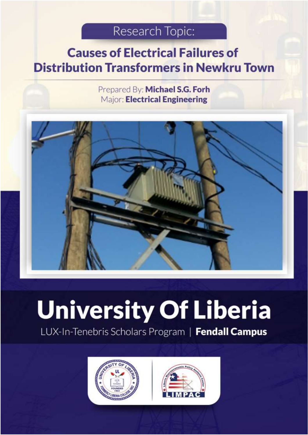# Research Topic:

# <span id="page-0-0"></span>**Causes of Electrical Failures of Distribution Transformers in Newkru Town** Fendall Campus

Prepared By: Michael S.G. Forh Major: Electrical Engineering



# **University Of Liberia** LUX-In-Tenebris Scholars Program | Fendall Campus



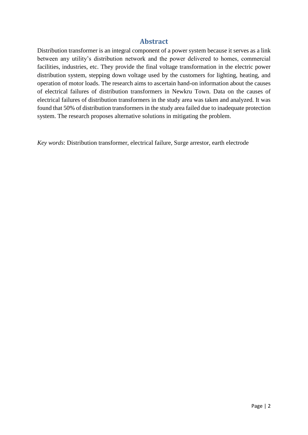#### **Abstract**

Distribution transformer is an integral component of a power system because it serves as a link between any utility's distribution network and the power delivered to homes, commercial facilities, industries, etc. They provide the final voltage transformation in the electric power distribution system, stepping down voltage used by the customers for lighting, heating, and operation of motor loads. The research aims to ascertain hand-on information about the causes of electrical failures of distribution transformers in Newkru Town. Data on the causes of electrical failures of distribution transformers in the study area was taken and analyzed. It was found that 50% of distribution transformers in the study area failed due to inadequate protection system. The research proposes alternative solutions in mitigating the problem.

*Key words*: Distribution transformer, electrical failure, Surge arrestor, earth electrode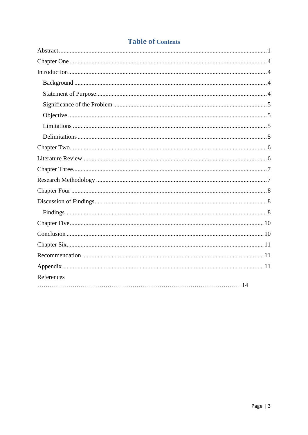| References |  |
|------------|--|
|            |  |

# **Table of Contents**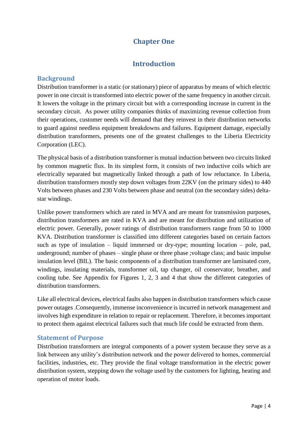# **Chapter One**

## **Introduction**

#### <span id="page-3-2"></span><span id="page-3-1"></span><span id="page-3-0"></span>**Background**

Distribution transformer is a static (or stationary) piece of apparatus by means of which electric power in one circuit is transformed into electric power of the same frequency in another circuit. It lowers the voltage in the primary circuit but with a corresponding increase in current in the secondary circuit. As power utility companies thinks of maximizing revenue collection from their operations, customer needs will demand that they reinvest in their distribution networks to guard against needless equipment breakdowns and failures. Equipment damage, especially distribution transformers, presents one of the greatest challenges to the Liberia Electricity Corporation (LEC).

The physical basis of a distribution transformer is mutual induction between two circuits linked by common magnetic flux. In its simplest form, it consists of two inductive coils which are electrically separated but magnetically linked through a path of low reluctance. In Liberia, distribution transformers mostly step down voltages from 22KV (on the primary sides) to 440 Volts between phases and 230 Volts between phase and neutral (on the secondary sides) deltastar windings.

Unlike power transformers which are rated in MVA and are meant for transmission purposes, distribution transformers are rated in KVA and are meant for distribution and utilization of electric power. Generally, power ratings of distribution transformers range from 50 to 1000 KVA. Distribution transformer is classified into different categories based on certain factors such as type of insulation – liquid immersed or dry-type; mounting location – pole, pad, underground; number of phases – single phase or three phase ; voltage class; and basic impulse insulation level (BIL). The basic components of a distribution transformer are laminated core, windings, insulating materials, transformer oil, tap changer, oil conservator, breather, and cooling tube. See Appendix for Figures 1, 2, 3 and 4 that show the different categories of distribution transformers.

Like all electrical devices, electrical faults also happen in distribution transformers which cause power outages .Consequently, immense inconvenience is incurred in network management and involves high expenditure in relation to repair or replacement. Therefore, it becomes important to protect them against electrical failures such that much life could be extracted from them.

#### <span id="page-3-3"></span>**Statement of Purpose**

Distribution transformers are integral components of a power system because they serve as a link between any utility's distribution network and the power delivered to homes, commercial facilities, industries, etc. They provide the final voltage transformation in the electric power distribution system, stepping down the voltage used by the customers for lighting, heating and operation of motor loads.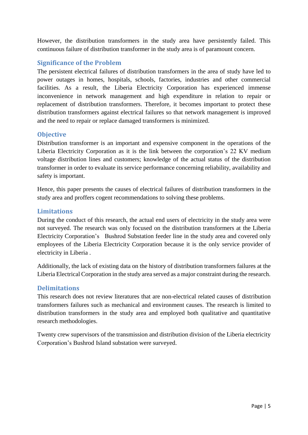However, the distribution transformers in the study area have persistently failed. This continuous failure of distribution transformer in the study area is of paramount concern.

#### <span id="page-4-0"></span>**Significance of the Problem**

The persistent electrical failures of distribution transformers in the area of study have led to power outages in homes, hospitals, schools, factories, industries and other commercial facilities. As a result, the Liberia Electricity Corporation has experienced immense inconvenience in network management and high expenditure in relation to repair or replacement of distribution transformers. Therefore, it becomes important to protect these distribution transformers against electrical failures so that network management is improved and the need to repair or replace damaged transformers is minimized.

#### <span id="page-4-1"></span>**Objective**

Distribution transformer is an important and expensive component in the operations of the Liberia Electricity Corporation as it is the link between the corporation's 22 KV medium voltage distribution lines and customers; knowledge of the actual status of the distribution transformer in order to evaluate its service performance concerning reliability, availability and safety is important.

Hence, this paper presents the causes of electrical failures of distribution transformers in the study area and proffers cogent recommendations to solving these problems.

#### <span id="page-4-2"></span>**Limitations**

During the conduct of this research, the actual end users of electricity in the study area were not surveyed. The research was only focused on the distribution transformers at the Liberia Electricity Corporation's Bushrod Substation feeder line in the study area and covered only employees of the Liberia Electricity Corporation because it is the only service provider of electricity in Liberia .

Additionally, the lack of existing data on the history of distribution transformers failures at the Liberia Electrical Corporation in the study area served as a major constraint during the research.

#### <span id="page-4-3"></span>**Delimitations**

This research does not review literatures that are non-electrical related causes of distribution transformers failures such as mechanical and environment causes. The research is limited to distribution transformers in the study area and employed both qualitative and quantitative research methodologies.

Twenty crew supervisors of the transmission and distribution division of the Liberia electricity Corporation's Bushrod Island substation were surveyed.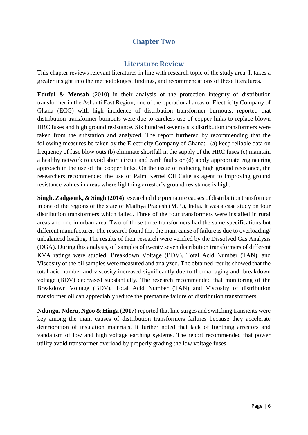## **Chapter Two**

#### **Literature Review**

<span id="page-5-1"></span><span id="page-5-0"></span>This chapter reviews relevant literatures in line with research topic of the study area. It takes a greater insight into the methodologies, findings, and recommendations of these literatures.

**Eduful & Mensah** (2010) in their analysis of the protection integrity of distribution transformer in the Ashanti East Region, one of the operational areas of Electricity Company of Ghana (ECG) with high incidence of distribution transformer burnouts, reported that distribution transformer burnouts were due to careless use of copper links to replace blown HRC fuses and high ground resistance. Six hundred seventy six distribution transformers were taken from the substation and analyzed. The report furthered by recommending that the following measures be taken by the Electricity Company of Ghana: (a) keep reliable data on frequency of fuse blow outs (b) eliminate shortfall in the supply of the HRC fuses (c) maintain a healthy network to avoid short circuit and earth faults or (d) apply appropriate engineering approach in the use of the copper links. On the issue of reducing high ground resistance, the researchers recommended the use of Palm Kernel Oil Cake as agent to improving ground resistance values in areas where lightning arrestor's ground resistance is high.

**Singh, Zadgaonk, & Singh (2014)** researched the premature causes of distribution transformer in one of the regions of the state of Madhya Pradesh (M.P.), India. It was a case study on four distribution transformers which failed. Three of the four transformers were installed in rural areas and one in urban area. Two of those three transformers had the same specifications but different manufacturer. The research found that the main cause of failure is due to overloading/ unbalanced loading. The results of their research were verified by the Dissolved Gas Analysis (DGA). During this analysis, oil samples of twenty seven distribution transformers of different KVA ratings were studied. Breakdown Voltage (BDV), Total Acid Number (TAN), and Viscosity of the oil samples were measured and analyzed. The obtained results showed that the total acid number and viscosity increased significantly due to thermal aging and breakdown voltage (BDV) decreased substantially. The research recommended that monitoring of the Breakdown Voltage (BDV), Total Acid Number (TAN) and Viscosity of distribution transformer oil can appreciably reduce the premature failure of distribution transformers.

**Ndungu, Nderu, Ngoo & Hinga (2017)** reported that line surges and switching transients were key among the main causes of distribution transformers failures because they accelerate deterioration of insulation materials. It further noted that lack of lightning arrestors and vandalism of low and high voltage earthing systems. The report recommended that power utility avoid transformer overload by properly grading the low voltage fuses.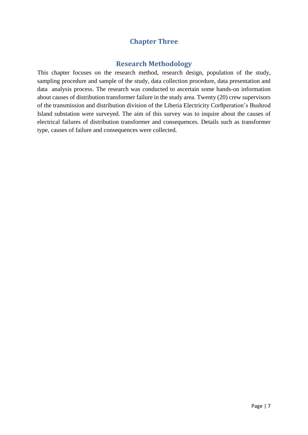# **Chapter Three**

#### **Research Methodology**

<span id="page-6-1"></span><span id="page-6-0"></span>This chapter focuses on the research method, research design, population of the study, sampling procedure and sample of the study, data collection procedure, data presentation and data analysis process. The research was conducted to ascertain some hands-on information about causes of distribution transformer failure in the study area. Twenty (20) crew supervisors of the transmission and distribution division of the Liberia Electricity Cor8peration's Bushrod Island substation were surveyed. The aim of this survey was to inquire about the causes of electrical failures of distribution transformer and consequences. Details such as transformer type, causes of failure and consequences were collected.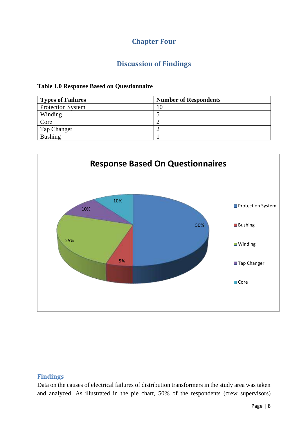# **Chapter Four**

# **Discussion of Findings**

#### <span id="page-7-1"></span><span id="page-7-0"></span>**Table 1.0 Response Based on Questionnaire**

| <b>Types of Failures</b> | <b>Number of Respondents</b> |
|--------------------------|------------------------------|
| <b>Protection System</b> | l O                          |
| Winding                  |                              |
| Core                     |                              |
| Tap Changer              |                              |
| <b>Bushing</b>           |                              |



#### <span id="page-7-2"></span>**Findings**

Data on the causes of electrical failures of distribution transformers in the study area was taken and analyzed. As illustrated in the pie chart, 50% of the respondents (crew supervisors)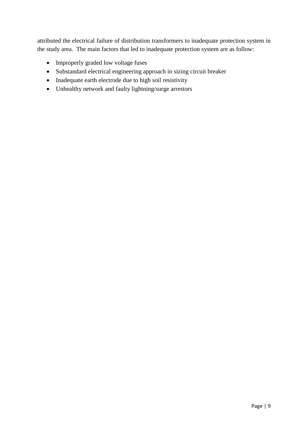attributed the electrical failure of distribution transformers to inadequate protection system in the study area. The main factors that led to inadequate protection system are as follow:

- Improperly graded low voltage fuses
- Substandard electrical engineering approach in sizing circuit breaker
- Inadequate earth electrode due to high soil resistivity
- Unhealthy network and faulty lightning/surge arrestors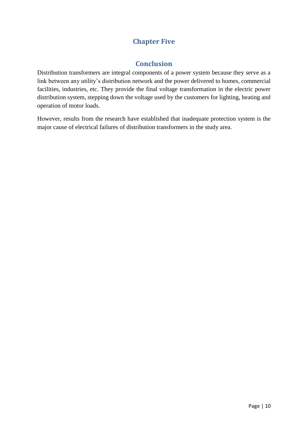# **Chapter Five**

#### **Conclusion**

<span id="page-9-1"></span><span id="page-9-0"></span>Distribution transformers are integral components of a power system because they serve as a link between any utility's distribution network and the power delivered to homes, commercial facilities, industries, etc. They provide the final voltage transformation in the electric power distribution system, stepping down the voltage used by the customers for lighting, heating and operation of motor loads.

However, results from the research have established that inadequate protection system is the major cause of electrical failures of distribution transformers in the study area.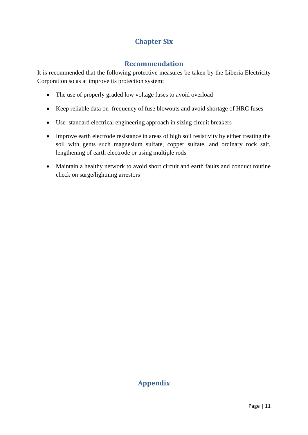# **Chapter Six**

## **Recommendation**

<span id="page-10-1"></span><span id="page-10-0"></span>It is recommended that the following protective measures be taken by the Liberia Electricity Corporation so as at improve its protection system:

- The use of properly graded low voltage fuses to avoid overload
- Keep reliable data on frequency of fuse blowouts and avoid shortage of HRC fuses
- Use standard electrical engineering approach in sizing circuit breakers
- Improve earth electrode resistance in areas of high soil resistivity by either treating the soil with gents such magnesium sulfate, copper sulfate, and ordinary rock salt, lengthening of earth electrode or using multiple rods
- Maintain a healthy network to avoid short circuit and earth faults and conduct routine check on surge/lightning arrestors

# <span id="page-10-2"></span>**Appendix**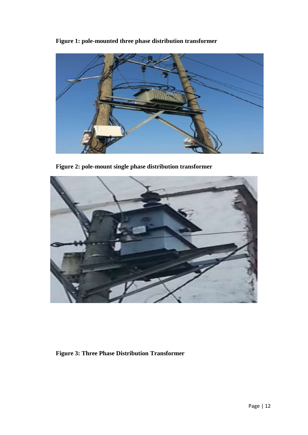**Figure 1: pole-mounted three phase distribution transformer**



**Figure 2: pole-mount single phase distribution transformer**



**Figure 3: Three Phase Distribution Transformer**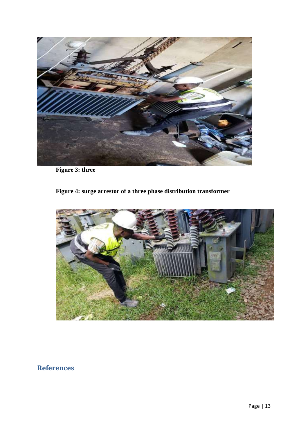

**Figure 3: three** 

# **Figure 4: surge arrestor of a three phase distribution transformer**



# **References**